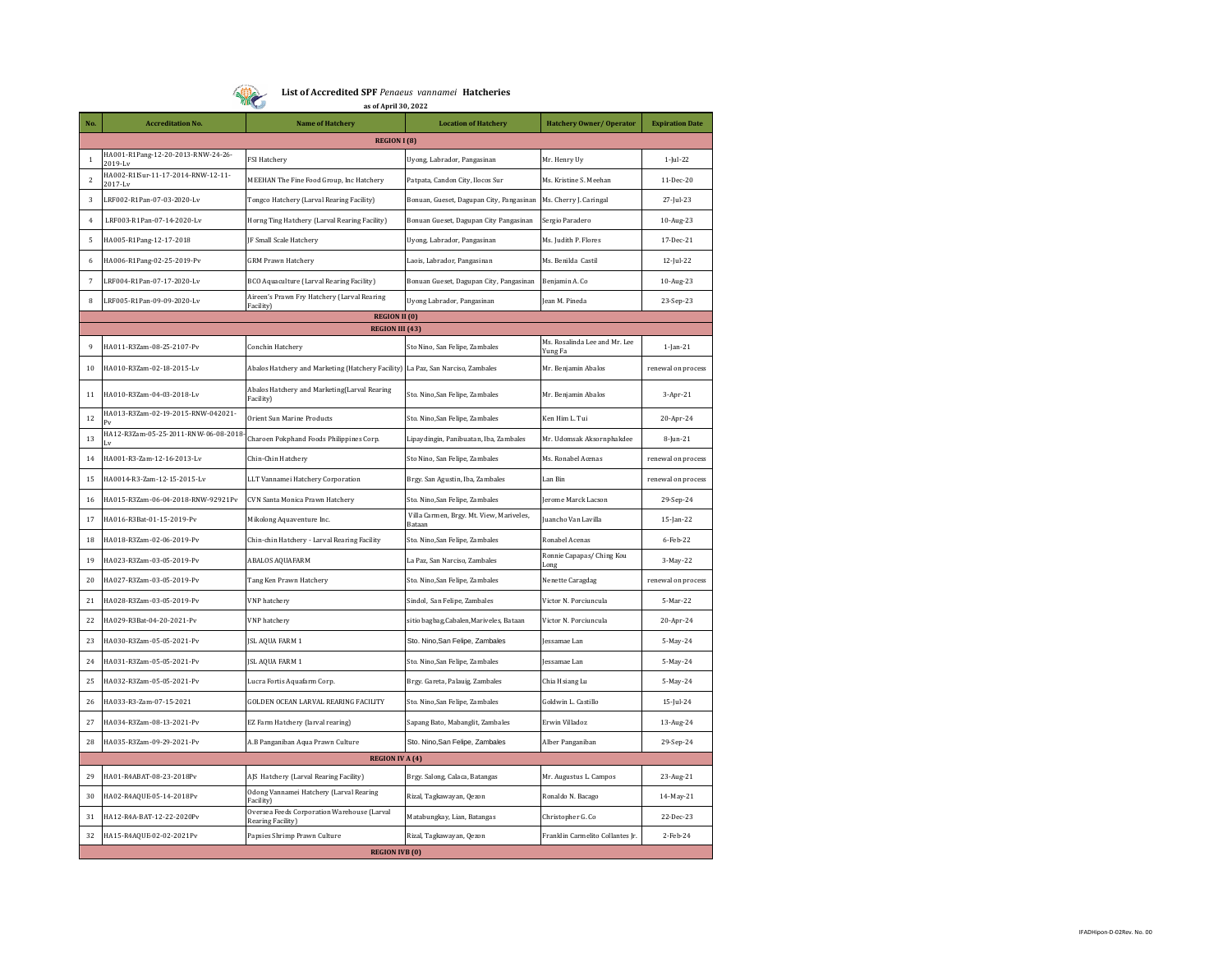**List of Accredited SPF** *Penaeus vannamei* **Hatcheries**

|                | <b>MIN</b><br>as of April 30, 2022             |                                                                  |                                                    |                                   |                        |  |  |  |  |
|----------------|------------------------------------------------|------------------------------------------------------------------|----------------------------------------------------|-----------------------------------|------------------------|--|--|--|--|
| No.            | <b>Accreditation No.</b>                       | <b>Name of Hatchery</b>                                          | <b>Location of Hatchery</b>                        | Hatchery Owner/ Operator          | <b>Expiration Date</b> |  |  |  |  |
|                | <b>REGION I (8)</b>                            |                                                                  |                                                    |                                   |                        |  |  |  |  |
| $\mathbf{1}$   | HA001-R1Pang-12-20-2013-RNW-24-26-<br>2019-Lv  | <b>FSI Hatchery</b>                                              | Uyong, Labrador, Pangasinan                        | Mr. Henry Uy                      | $1$ -Jul-22            |  |  |  |  |
| $\overline{2}$ | HA002-R1ISur-11-17-2014-RNW-12-11-<br>2017-Lv  | MEEHAN The Fine Food Group, Inc Hatchery                         | Patpata, Candon City, Ilocos Sur                   | Ms. Kristine S. Meehan            | 11-Dec-20              |  |  |  |  |
| $\overline{3}$ | LRF002-R1Pan-07-03-2020-Lv                     | Tongco Hatchery (Larval Rearing Facility)                        | Bonuan, Gueset, Dagupan City, Pangasinan           | Ms. Cherry J. Caringal            | 27-Jul-23              |  |  |  |  |
| $\overline{4}$ | LRF003-R1Pan-07-14-2020-Lv                     | Horng Ting Hatchery (Larval Rearing Facility)                    | Bonuan Gueset, Dagupan City Pangasinan             | Sergio Paradero                   | 10-Aug-23              |  |  |  |  |
| 5              | HA005-R1Pang-12-17-2018                        | JF Small Scale Hatchery                                          | Uyong, Labrador, Pangasinan                        | Ms. Judith P. Flores              | 17-Dec-21              |  |  |  |  |
| 6              | HA006-R1Pang-02-25-2019-Pv                     | <b>GRM Prawn Hatchery</b>                                        | Laois, Labrador, Pangasinan                        | Ms. Benilda Castil                | 12-Jul-22              |  |  |  |  |
| $\overline{7}$ | LRF004-R1Pan-07-17-2020-Lv                     | BCO Aquaculture (Larval Rearing Facility)                        | Bonuan Gueset, Dagupan City, Pangasinan            | Benjamin A. Co                    | 10-Aug-23              |  |  |  |  |
| 8              | LRF005-R1Pan-09-09-2020-Lv                     | Aireen's Prawn Fry Hatchery (Larval Rearing<br>Facility)         | Uyong Labrador, Pangasinan                         | Jean M. Pineda                    | 23-Sep-23              |  |  |  |  |
|                | <b>REGION II (0)</b><br><b>REGION III (43)</b> |                                                                  |                                                    |                                   |                        |  |  |  |  |
|                |                                                |                                                                  |                                                    | Ms. Rosalinda Lee and Mr. Lee     |                        |  |  |  |  |
| 9              | HA011-R3Zam-08-25-2107-Pv                      | Conchin Hatchery                                                 | Sto Nino, San Felipe, Zambales                     | Yung Fa                           | $1$ -Jan- $21$         |  |  |  |  |
| 10             | HA010-R3Zam-02-18-2015-Lv                      | Abalos Hatchery and Marketing (Hatchery Facility)                | La Paz, San Narciso, Zambales                      | Mr. Benjamin Abalos               | renewal on process     |  |  |  |  |
| 11             | HA010-R3Zam-04-03-2018-Lv                      | Abalos Hatchery and Marketing(Larval Rearing<br>Facility)        | Sto. Nino, San Felipe, Zambales                    | Mr. Benjamin Abalos               | $3-Apr-21$             |  |  |  |  |
| 12             | HA013-R3Zam-02-19-2015-RNW-042021-             | Orient Sun Marine Products                                       | Sto. Nino, San Felipe, Zambales                    | Ken Him L. Tui                    | 20-Apr-24              |  |  |  |  |
| 13             | HA12-R3Zam-05-25-2011-RNW-06-08-2018           | Charoen Pokphand Foods Philippines Corp.                         | Lipaydingin, Panibuatan, Iba, Zambales             | Mr. Udomsak Aksornphakdee         | 8-Jun-21               |  |  |  |  |
| 14             | HA001-R3-Zam-12-16-2013-Lv                     | Chin-Chin Hatchery                                               | Sto Nino, San Felipe, Zambales                     | Ms. Ronabel Acenas                | renewal on process     |  |  |  |  |
| 15             | HA0014-R3-Zam-12-15-2015-Lv                    | LLT Vannamei Hatchery Corporation                                | Brgy. San Agustin, Iba, Zambales                   | Lan Bin                           | renewal on process     |  |  |  |  |
| 16             | HA015-R3Zam-06-04-2018-RNW-92921Pv             | CVN Santa Monica Prawn Hatchery                                  | Sto. Nino, San Felipe, Zambales                    | Jerome Marck Lacson               | 29-Sep-24              |  |  |  |  |
| 17             | HA016-R3Bat-01-15-2019-Pv                      | Mikolong Aquaventure Inc.                                        | Villa Carmen, Brgy. Mt. View, Mariveles,<br>Bataan | Juancho Van Lavilla               | 15-Jan-22              |  |  |  |  |
| 18             | HA018-R3Zam-02-06-2019-Pv                      | Chin-chin Hatchery - Larval Rearing Facility                     | Sto. Nino, San Felipe, Zambales                    | Ronabel Acenas                    | 6-Feb-22               |  |  |  |  |
| 19             | HA023-R3Zam-03-05-2019-Pv                      | ABALOS AQUAFARM                                                  | La Paz, San Narciso, Zambales                      | Ronnie Capapas/ Ching Kou<br>Long | 3-May-22               |  |  |  |  |
| 20             | HA027-R3Zam-03-05-2019-Pv                      | Tang Ken Prawn Hatchery                                          | Sto. Nino, San Felipe, Zambales                    | Nenette Caragdag                  | renewal on process     |  |  |  |  |
| 21             | HA028-R3Zam-03-05-2019-Pv                      | VNP hatchery                                                     | Sindol, San Felipe, Zambales                       | Victor N. Porciuncula             | 5-Mar-22               |  |  |  |  |
| 22             | HA029-R3Bat-04-20-2021-Pv                      | VNP hatchery                                                     | sitio bagbag, Cabalen, Mariveles, Bataan           | Victor N. Porciuncula             | 20-Apr-24              |  |  |  |  |
| 23             | HA030-R3Zam-05-05-2021-Pv                      | JSL AQUA FARM 1                                                  | Sto. Nino, San Felipe, Zambales                    | lessamae Lan                      | 5-May-24               |  |  |  |  |
| 2.4            | HA031-R3Zam-05-05-2021-Pv                      | JSL AQUA FARM 1                                                  | Sto. Nino, San Felipe, Zambales                    | lessamae Lan                      | 5-May-24               |  |  |  |  |
| 25             | HA032-R3Zam-05-05-2021-Pv                      | Lucra Fortis Aquafarm Corp.                                      | Brgy. Gareta, Palauig, Zambales                    | Chia Hsiang Lu                    | 5-May-24               |  |  |  |  |
| 26             | HA033-R3-Zam-07-15-2021                        | GOLDEN OCEAN LARVAL REARING FACILITY                             | Sto. Nino, San Felipe, Zambales                    | Goldwin L. Castillo               | 15-Jul-24              |  |  |  |  |
| 27             | HA034-R3Zam-08-13-2021-Pv                      | EZ Farm Hatchery (larval rearing)                                | Sapang Bato, Mabanglit, Zambales                   | Erwin Villadoz                    | 13-Aug-24              |  |  |  |  |
| 28             | HA035-R3Zam-09-29-2021-Pv                      | A.B Panganiban Aqua Prawn Culture                                | Sto. Nino, San Felipe, Zambales                    | Alber Panganiban                  | 29-Sep-24              |  |  |  |  |
|                | <b>REGION IV A (4)</b>                         |                                                                  |                                                    |                                   |                        |  |  |  |  |
| 29             | HA01-R4ABAT-08-23-2018Pv                       | AJS Hatchery (Larval Rearing Facility)                           | Brgy. Salong, Calaca, Batangas                     | Mr. Augustus L. Campos            | 23-Aug-21              |  |  |  |  |
| 30             | HA02-R4AQUE-05-14-2018Pv                       | Odong Vannamei Hatchery (Larval Rearing<br>Facility)             | Rizal, Tagkawayan, Qezon                           | Ronaldo N. Bacago                 | 14-May-21              |  |  |  |  |
| 31             | HA12-R4A-BAT-12-22-2020Pv                      | Oversea Feeds Corporation Warehouse (Larval<br>Rearing Facility) | Matabungkay, Lian, Batangas                        | Christopher G. Co                 | 22-Dec-23              |  |  |  |  |
| 32             | HA15-R4AQUE-02-02-2021Pv                       | Papsies Shrimp Prawn Culture                                     | Rizal, Tagkawayan, Qezon                           | Franklin Carmelito Collantes Jr.  | $2-Feb-24$             |  |  |  |  |
|                | <b>REGION IVB (0)</b>                          |                                                                  |                                                    |                                   |                        |  |  |  |  |